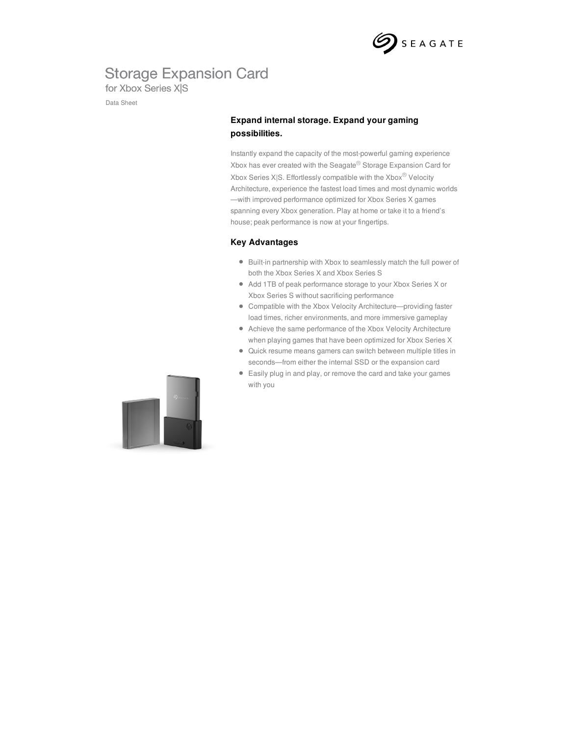

## **Storage Expansion Card**

for Xbox Series X|S

Data Sheet

### **Expand internal storage. Expand your gaming possibilities.**

Instantly expand the capacity of the most-powerful gaming experience Xbox has ever created with the Seagate® Storage Expansion Card for Xbox Series X|S. Effortlessly compatible with the Xbox® Velocity Architecture, experience the fastest load times and most dynamic worlds —with improved performance optimized for Xbox Series X games spanning every Xbox generation. Play at home or take it to a friend's house; peak performance is now at your fingertips.

#### **Key Advantages**

- Built-in partnership with Xbox to seamlessly match the full power of both the Xbox Series X and Xbox Series S
- Add 1TB of peak performance storage to your Xbox Series X or Xbox Series S without sacrificing performance
- Compatible with the Xbox Velocity Architecture—providing faster load times, richer environments, and more immersive gameplay
- Achieve the same performance of the Xbox Velocity Architecture when playing games that have been optimized for Xbox Series X
- Quick resume means gamers can switch between multiple titles in seconds—from either the internal SSD or the expansion card
- Easily plug in and play, or remove the card and take your games with you